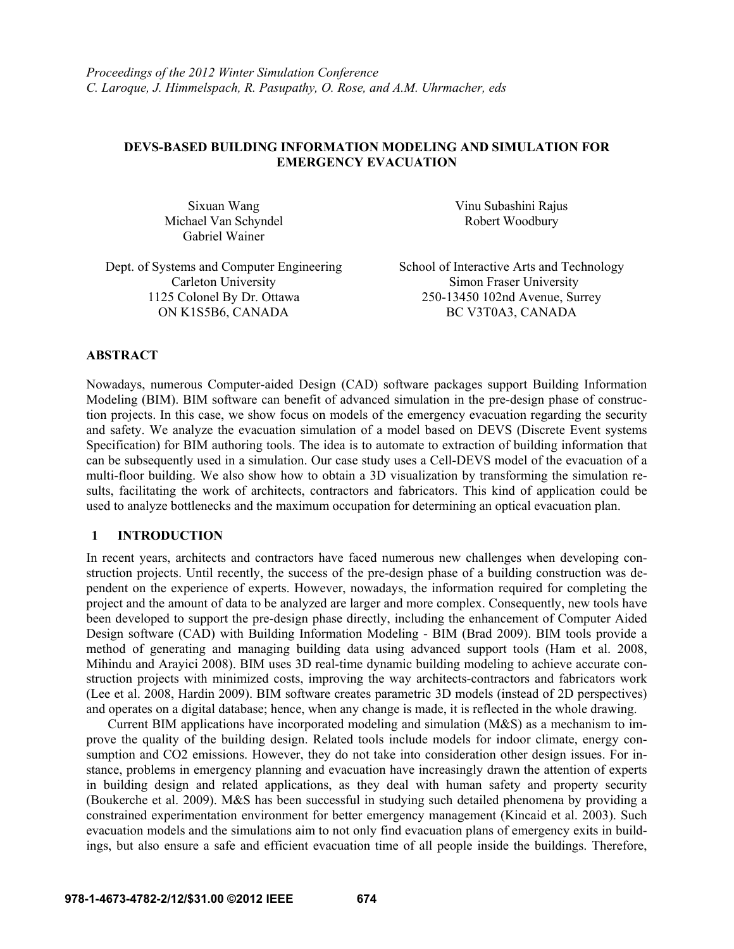# **DEVS-BASED BUILDING INFORMATION MODELING AND SIMULATION FOR EMERGENCY EVACUATION**

Sixuan Wang Michael Van Schyndel Gabriel Wainer

Dept. of Systems and Computer Engineering School of Interactive Arts and Technology 1125 Colonel By Dr. Ottawa ON K1S5B6, CANADA

Vinu Subashini Rajus Robert Woodbury

Carleton University Simon Fraser University 250-13450 102nd Avenue, Surrey BC V3T0A3, CANADA

# **ABSTRACT**

Nowadays, numerous Computer-aided Design (CAD) software packages support Building Information Modeling (BIM). BIM software can benefit of advanced simulation in the pre-design phase of construction projects. In this case, we show focus on models of the emergency evacuation regarding the security and safety. We analyze the evacuation simulation of a model based on DEVS (Discrete Event systems Specification) for BIM authoring tools. The idea is to automate to extraction of building information that can be subsequently used in a simulation. Our case study uses a Cell-DEVS model of the evacuation of a multi-floor building. We also show how to obtain a 3D visualization by transforming the simulation results, facilitating the work of architects, contractors and fabricators. This kind of application could be used to analyze bottlenecks and the maximum occupation for determining an optical evacuation plan.

# **1 INTRODUCTION**

In recent years, architects and contractors have faced numerous new challenges when developing construction projects. Until recently, the success of the pre-design phase of a building construction was dependent on the experience of experts. However, nowadays, the information required for completing the project and the amount of data to be analyzed are larger and more complex. Consequently, new tools have been developed to support the pre-design phase directly, including the enhancement of Computer Aided Design software (CAD) with Building Information Modeling - BIM (Brad 2009). BIM tools provide a method of generating and managing building data using advanced support tools (Ham et al. 2008, Mihindu and Arayici 2008). BIM uses 3D real-time dynamic building modeling to achieve accurate construction projects with minimized costs, improving the way architects-contractors and fabricators work (Lee et al. 2008, Hardin 2009). BIM software creates parametric 3D models (instead of 2D perspectives) and operates on a digital database; hence, when any change is made, it is reflected in the whole drawing.

Current BIM applications have incorporated modeling and simulation (M&S) as a mechanism to improve the quality of the building design. Related tools include models for indoor climate, energy consumption and CO2 emissions. However, they do not take into consideration other design issues. For instance, problems in emergency planning and evacuation have increasingly drawn the attention of experts in building design and related applications, as they deal with human safety and property security (Boukerche et al. 2009). M&S has been successful in studying such detailed phenomena by providing a constrained experimentation environment for better emergency management (Kincaid et al. 2003). Such evacuation models and the simulations aim to not only find evacuation plans of emergency exits in buildings, but also ensure a safe and efficient evacuation time of all people inside the buildings. Therefore,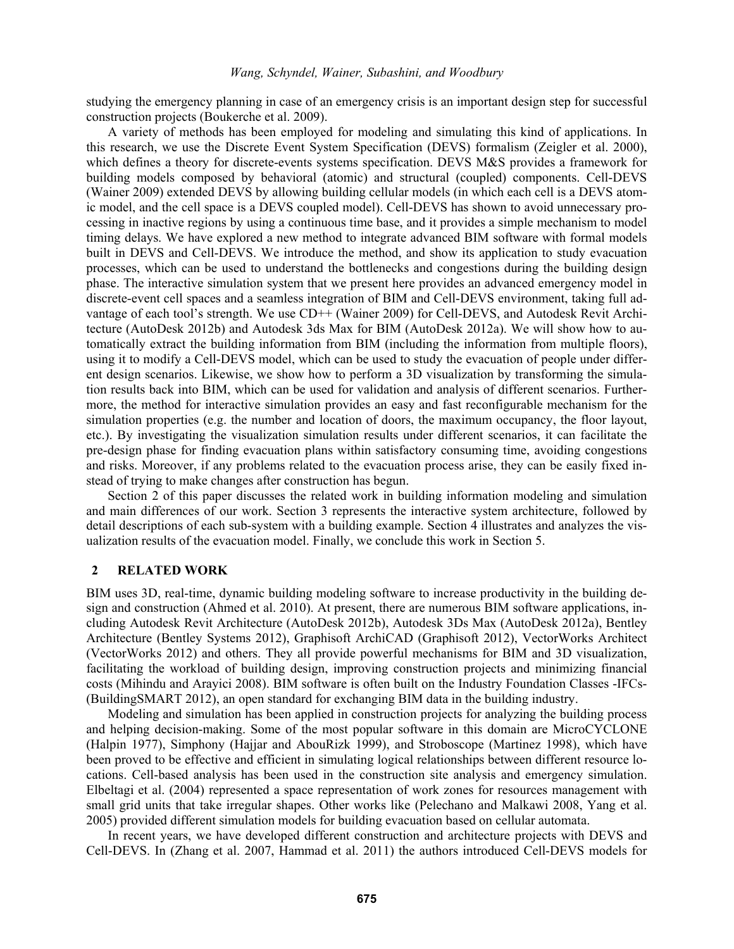studying the emergency planning in case of an emergency crisis is an important design step for successful construction projects (Boukerche et al. 2009).

A variety of methods has been employed for modeling and simulating this kind of applications. In this research, we use the Discrete Event System Specification (DEVS) formalism (Zeigler et al. 2000), which defines a theory for discrete-events systems specification. DEVS M&S provides a framework for building models composed by behavioral (atomic) and structural (coupled) components. Cell-DEVS (Wainer 2009) extended DEVS by allowing building cellular models (in which each cell is a DEVS atomic model, and the cell space is a DEVS coupled model). Cell-DEVS has shown to avoid unnecessary processing in inactive regions by using a continuous time base, and it provides a simple mechanism to model timing delays. We have explored a new method to integrate advanced BIM software with formal models built in DEVS and Cell-DEVS. We introduce the method, and show its application to study evacuation processes, which can be used to understand the bottlenecks and congestions during the building design phase. The interactive simulation system that we present here provides an advanced emergency model in discrete-event cell spaces and a seamless integration of BIM and Cell-DEVS environment, taking full advantage of each tool's strength. We use CD++ (Wainer 2009) for Cell-DEVS, and Autodesk Revit Architecture (AutoDesk 2012b) and Autodesk 3ds Max for BIM (AutoDesk 2012a). We will show how to automatically extract the building information from BIM (including the information from multiple floors), using it to modify a Cell-DEVS model, which can be used to study the evacuation of people under different design scenarios. Likewise, we show how to perform a 3D visualization by transforming the simulation results back into BIM, which can be used for validation and analysis of different scenarios. Furthermore, the method for interactive simulation provides an easy and fast reconfigurable mechanism for the simulation properties (e.g. the number and location of doors, the maximum occupancy, the floor layout, etc.). By investigating the visualization simulation results under different scenarios, it can facilitate the pre-design phase for finding evacuation plans within satisfactory consuming time, avoiding congestions and risks. Moreover, if any problems related to the evacuation process arise, they can be easily fixed instead of trying to make changes after construction has begun.

Section 2 of this paper discusses the related work in building information modeling and simulation and main differences of our work. Section 3 represents the interactive system architecture, followed by detail descriptions of each sub-system with a building example. Section 4 illustrates and analyzes the visualization results of the evacuation model. Finally, we conclude this work in Section 5.

# **2 RELATED WORK**

BIM uses 3D, real-time, dynamic building modeling software to increase productivity in the building design and construction (Ahmed et al. 2010). At present, there are numerous BIM software applications, including Autodesk Revit Architecture (AutoDesk 2012b), Autodesk 3Ds Max (AutoDesk 2012a), Bentley Architecture (Bentley Systems 2012), Graphisoft ArchiCAD (Graphisoft 2012), VectorWorks Architect (VectorWorks 2012) and others. They all provide powerful mechanisms for BIM and 3D visualization, facilitating the workload of building design, improving construction projects and minimizing financial costs (Mihindu and Arayici 2008). BIM software is often built on the Industry Foundation Classes -IFCs- (BuildingSMART 2012), an open standard for exchanging BIM data in the building industry.

Modeling and simulation has been applied in construction projects for analyzing the building process and helping decision-making. Some of the most popular software in this domain are MicroCYCLONE (Halpin 1977), Simphony (Hajjar and AbouRizk 1999), and Stroboscope (Martinez 1998), which have been proved to be effective and efficient in simulating logical relationships between different resource locations. Cell-based analysis has been used in the construction site analysis and emergency simulation. Elbeltagi et al. (2004) represented a space representation of work zones for resources management with small grid units that take irregular shapes. Other works like (Pelechano and Malkawi 2008, Yang et al. 2005) provided different simulation models for building evacuation based on cellular automata.

In recent years, we have developed different construction and architecture projects with DEVS and Cell-DEVS. In (Zhang et al. 2007, Hammad et al. 2011) the authors introduced Cell-DEVS models for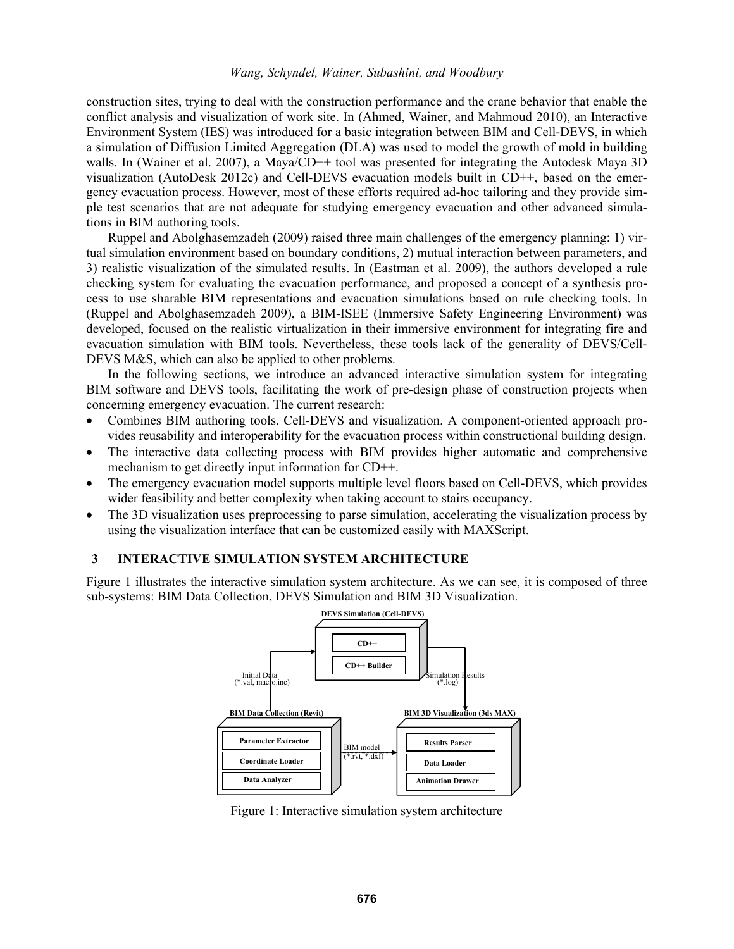construction sites, trying to deal with the construction performance and the crane behavior that enable the conflict analysis and visualization of work site. In (Ahmed, Wainer, and Mahmoud 2010), an Interactive Environment System (IES) was introduced for a basic integration between BIM and Cell-DEVS, in which a simulation of Diffusion Limited Aggregation (DLA) was used to model the growth of mold in building walls. In (Wainer et al. 2007), a Maya/CD++ tool was presented for integrating the Autodesk Maya 3D visualization (AutoDesk 2012c) and Cell-DEVS evacuation models built in CD++, based on the emergency evacuation process. However, most of these efforts required ad-hoc tailoring and they provide simple test scenarios that are not adequate for studying emergency evacuation and other advanced simulations in BIM authoring tools.

Ruppel and Abolghasemzadeh (2009) raised three main challenges of the emergency planning: 1) virtual simulation environment based on boundary conditions, 2) mutual interaction between parameters, and 3) realistic visualization of the simulated results. In (Eastman et al. 2009), the authors developed a rule checking system for evaluating the evacuation performance, and proposed a concept of a synthesis process to use sharable BIM representations and evacuation simulations based on rule checking tools. In (Ruppel and Abolghasemzadeh 2009), a BIM-ISEE (Immersive Safety Engineering Environment) was developed, focused on the realistic virtualization in their immersive environment for integrating fire and evacuation simulation with BIM tools. Nevertheless, these tools lack of the generality of DEVS/Cell-DEVS M&S, which can also be applied to other problems.

In the following sections, we introduce an advanced interactive simulation system for integrating BIM software and DEVS tools, facilitating the work of pre-design phase of construction projects when concerning emergency evacuation. The current research:

- Combines BIM authoring tools, Cell-DEVS and visualization. A component-oriented approach provides reusability and interoperability for the evacuation process within constructional building design.
- The interactive data collecting process with BIM provides higher automatic and comprehensive mechanism to get directly input information for CD++.
- The emergency evacuation model supports multiple level floors based on Cell-DEVS, which provides wider feasibility and better complexity when taking account to stairs occupancy.
- The 3D visualization uses preprocessing to parse simulation, accelerating the visualization process by using the visualization interface that can be customized easily with MAXScript.

## **3 INTERACTIVE SIMULATION SYSTEM ARCHITECTURE**

Figure 1 illustrates the interactive simulation system architecture. As we can see, it is composed of three sub-systems: BIM Data Collection, DEVS Simulation and BIM 3D Visualization.



Figure 1: Interactive simulation system architecture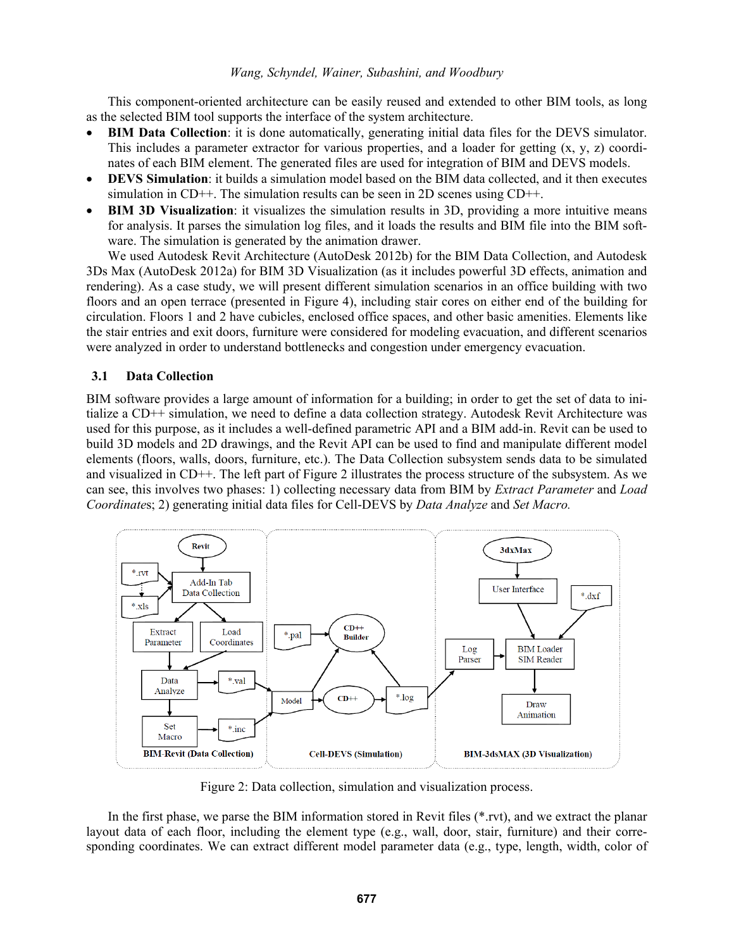This component-oriented architecture can be easily reused and extended to other BIM tools, as long as the selected BIM tool supports the interface of the system architecture.

- **BIM Data Collection**: it is done automatically, generating initial data files for the DEVS simulator. This includes a parameter extractor for various properties, and a loader for getting  $(x, y, z)$  coordinates of each BIM element. The generated files are used for integration of BIM and DEVS models.
- **DEVS Simulation**: it builds a simulation model based on the BIM data collected, and it then executes simulation in  $CD++$ . The simulation results can be seen in 2D scenes using  $CD++$ .
- **BIM 3D Visualization**: it visualizes the simulation results in 3D, providing a more intuitive means for analysis. It parses the simulation log files, and it loads the results and BIM file into the BIM software. The simulation is generated by the animation drawer.

We used Autodesk Revit Architecture (AutoDesk 2012b) for the BIM Data Collection, and Autodesk 3Ds Max (AutoDesk 2012a) for BIM 3D Visualization (as it includes powerful 3D effects, animation and rendering). As a case study, we will present different simulation scenarios in an office building with two floors and an open terrace (presented in Figure 4), including stair cores on either end of the building for circulation. Floors 1 and 2 have cubicles, enclosed office spaces, and other basic amenities. Elements like the stair entries and exit doors, furniture were considered for modeling evacuation, and different scenarios were analyzed in order to understand bottlenecks and congestion under emergency evacuation.

# **3.1 Data Collection**

BIM software provides a large amount of information for a building; in order to get the set of data to initialize a CD++ simulation, we need to define a data collection strategy. Autodesk Revit Architecture was used for this purpose, as it includes a well-defined parametric API and a BIM add-in. Revit can be used to build 3D models and 2D drawings, and the Revit API can be used to find and manipulate different model elements (floors, walls, doors, furniture, etc.). The Data Collection subsystem sends data to be simulated and visualized in CD++. The left part of Figure 2 illustrates the process structure of the subsystem. As we can see, this involves two phases: 1) collecting necessary data from BIM by *Extract Parameter* and *Load Coordinate*s; 2) generating initial data files for Cell-DEVS by *Data Analyze* and *Set Macro.*



Figure 2: Data collection, simulation and visualization process.

In the first phase, we parse the BIM information stored in Revit files (\*.rvt), and we extract the planar layout data of each floor, including the element type (e.g., wall, door, stair, furniture) and their corresponding coordinates. We can extract different model parameter data (e.g., type, length, width, color of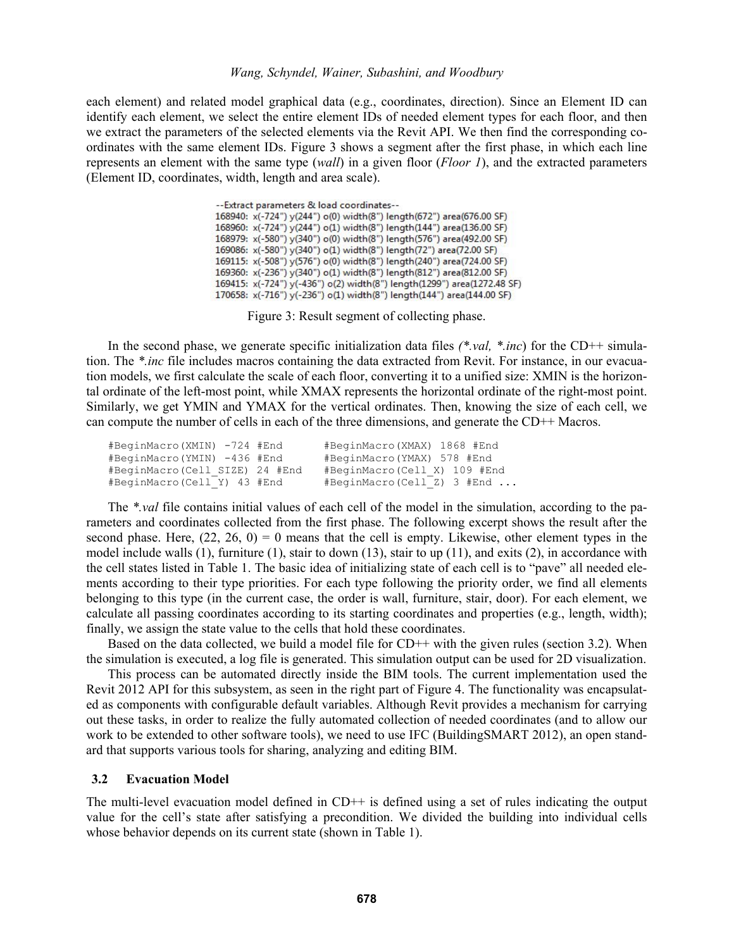each element) and related model graphical data (e.g., coordinates, direction). Since an Element ID can identify each element, we select the entire element IDs of needed element types for each floor, and then we extract the parameters of the selected elements via the Revit API. We then find the corresponding coordinates with the same element IDs. Figure 3 shows a segment after the first phase, in which each line represents an element with the same type (*wall*) in a given floor (*Floor 1*), and the extracted parameters (Element ID, coordinates, width, length and area scale).

> --Extract parameters & load coordinates--168940: x(-724") y(244") o(0) width(8") length(672") area(676.00 SF) 168960: x(-724") y(244") o(1) width(8") length(144") area(136.00 SF) 168979: x(-580") y(340") o(0) width(8") length(576") area(492.00 SF) 169086: x(-580") y(340") o(1) width(8") length(72") area(72.00 SF) 169115: x(-508") y(576") o(0) width(8") length(240") area(724.00 SF) 169360: x(-236") y(340") o(1) width(8") length(812") area(812.00 SF) 169415: x(-724") y(-436") o(2) width(8") length(1299") area(1272.48 SF) 170658: x(-716") y(-236") o(1) width(8") length(144") area(144.00 SF)

> > Figure 3: Result segment of collecting phase.

In the second phase, we generate specific initialization data files *(\*.val, \*.inc*) for the CD++ simulation. The *\*.inc* file includes macros containing the data extracted from Revit. For instance, in our evacuation models, we first calculate the scale of each floor, converting it to a unified size: XMIN is the horizontal ordinate of the left-most point, while XMAX represents the horizontal ordinate of the right-most point. Similarly, we get YMIN and YMAX for the vertical ordinates. Then, knowing the size of each cell, we can compute the number of cells in each of the three dimensions, and generate the CD++ Macros.

| #BeginMacro(XMIN) -724 #End    | #BeginMacro(XMAX) 1868 #End      |
|--------------------------------|----------------------------------|
| #BeginMacro(YMIN) -436 #End    | #BeginMacro(YMAX) 578 #End       |
| #BeginMacro(Cell SIZE) 24 #End | #BeginMacro(Cell X) 109 #End     |
| #BeginMacro(Cell Y) 43 #End    | $#$ BeginMacro(Cell Z) 3 $#$ End |

The *\*.val* file contains initial values of each cell of the model in the simulation, according to the parameters and coordinates collected from the first phase. The following excerpt shows the result after the second phase. Here,  $(22, 26, 0) = 0$  means that the cell is empty. Likewise, other element types in the model include walls (1), furniture (1), stair to down (13), stair to up (11), and exits (2), in accordance with the cell states listed in Table 1. The basic idea of initializing state of each cell is to "pave" all needed elements according to their type priorities. For each type following the priority order, we find all elements belonging to this type (in the current case, the order is wall, furniture, stair, door). For each element, we calculate all passing coordinates according to its starting coordinates and properties (e.g., length, width); finally, we assign the state value to the cells that hold these coordinates.

Based on the data collected, we build a model file for CD++ with the given rules (section 3.2). When the simulation is executed, a log file is generated. This simulation output can be used for 2D visualization.

This process can be automated directly inside the BIM tools. The current implementation used the Revit 2012 API for this subsystem, as seen in the right part of Figure 4. The functionality was encapsulated as components with configurable default variables. Although Revit provides a mechanism for carrying out these tasks, in order to realize the fully automated collection of needed coordinates (and to allow our work to be extended to other software tools), we need to use IFC (BuildingSMART 2012), an open standard that supports various tools for sharing, analyzing and editing BIM.

## **3.2 Evacuation Model**

The multi-level evacuation model defined in CD++ is defined using a set of rules indicating the output value for the cell's state after satisfying a precondition. We divided the building into individual cells whose behavior depends on its current state (shown in Table 1).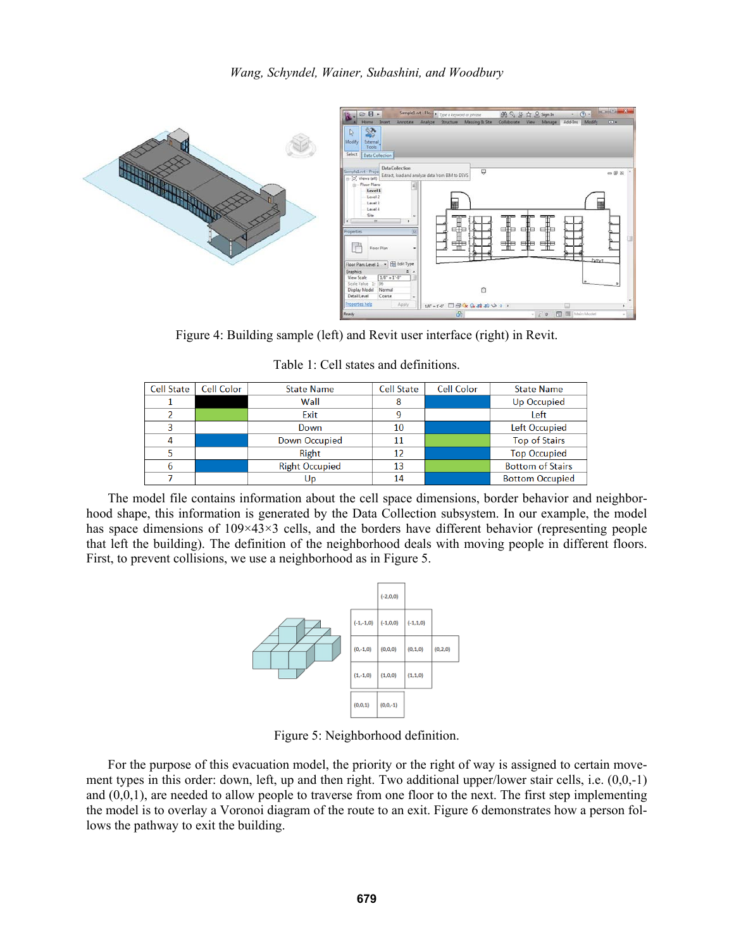

Figure 4: Building sample (left) and Revit user interface (right) in Revit.

Table 1: Cell states and definitions.

| <b>Cell State</b> | Cell Color | <b>State Name</b>     | <b>Cell State</b> | Cell Color | <b>State Name</b>       |
|-------------------|------------|-----------------------|-------------------|------------|-------------------------|
|                   |            | Wall                  |                   |            | Up Occupied             |
|                   |            | Exit                  |                   |            | Left                    |
| 3                 |            | Down                  | 10                |            | Left Occupied           |
| 4                 |            | Down Occupied         |                   |            | <b>Top of Stairs</b>    |
|                   |            | Right                 | 12                |            | <b>Top Occupied</b>     |
|                   |            | <b>Right Occupied</b> | 13                |            | <b>Bottom of Stairs</b> |
|                   |            | Up                    | 14                |            | <b>Bottom Occupied</b>  |

The model file contains information about the cell space dimensions, border behavior and neighborhood shape, this information is generated by the Data Collection subsystem. In our example, the model has space dimensions of  $109\times43\times3$  cells, and the borders have different behavior (representing people that left the building). The definition of the neighborhood deals with moving people in different floors. First, to prevent collisions, we use a neighborhood as in Figure 5.



Figure 5: Neighborhood definition.

For the purpose of this evacuation model, the priority or the right of way is assigned to certain movement types in this order: down, left, up and then right. Two additional upper/lower stair cells, i.e. (0,0,-1) and  $(0,0,1)$ , are needed to allow people to traverse from one floor to the next. The first step implementing the model is to overlay a Voronoi diagram of the route to an exit. Figure 6 demonstrates how a person follows the pathway to exit the building.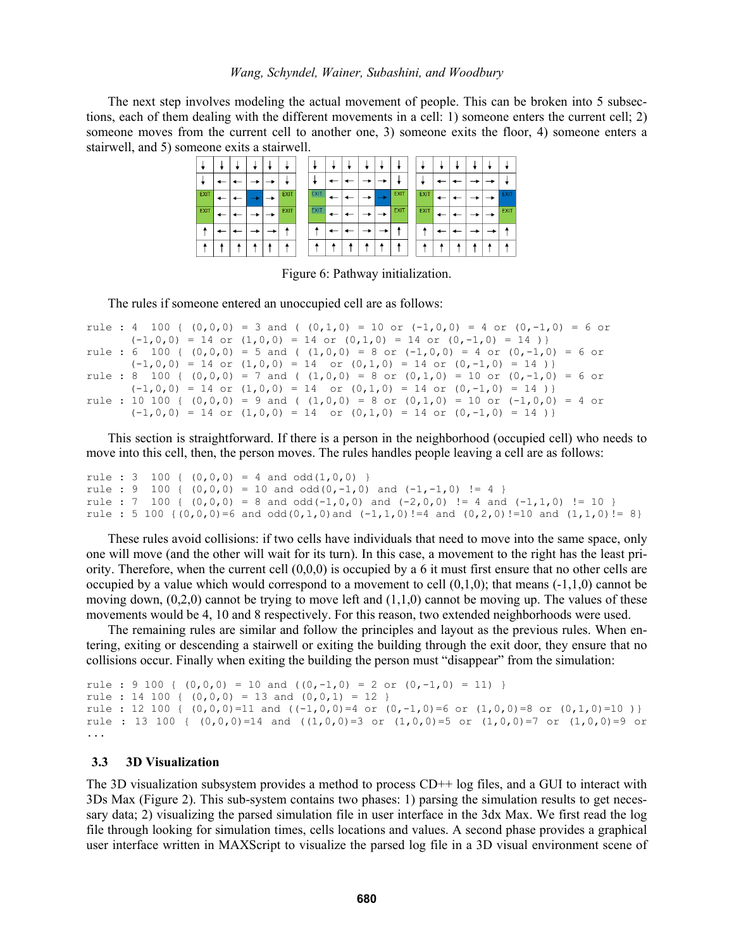The next step involves modeling the actual movement of people. This can be broken into 5 subsections, each of them dealing with the different movements in a cell: 1) someone enters the current cell; 2) someone moves from the current cell to another one, 3) someone exits the floor, 4) someone enters a stairwell, and 5) someone exits a stairwell.



#### Figure 6: Pathway initialization.

The rules if someone entered an unoccupied cell are as follows:

```
rule : 4 100 { (0,0,0) = 3 and ( (0,1,0) = 10 or (-1,0,0) = 4 or (0,-1,0) = 6 or
       (-1,0,0) = 14 or (1,0,0) = 14 or (0,1,0) = 14 or (0,-1,0) = 14)
rule : 6 100 { (0,0,0) = 5 and ( (1,0,0) = 8 or (-1,0,0) = 4 or (0,-1,0) = 6 or
       (-1,0,0) = 14 or (1,0,0) = 14 or (0,1,0) = 14 or (0,-1,0) = 14 }
rule : 8 100 { (0,0,0) = 7 and ( (1,0,0) = 8 or (0,1,0) = 10 or (0,-1,0) = 6 or
      (-1,0,0) = 14 or (1,0,0) = 14 or (0,1,0) = 14 or (0,-1,0) = 14 }
rule : 10 100 { (0,0,0) = 9 and ( (1,0,0) = 8 or (0,1,0) = 10 or (-1,0,0) = 4 or
       (-1,0,0) = 14 or (1,0,0) = 14 or (0,1,0) = 14 or (0,-1,0) = 14 }
```
This section is straightforward. If there is a person in the neighborhood (occupied cell) who needs to move into this cell, then, the person moves. The rules handles people leaving a cell are as follows:

```
rule : 3 100 { (0,0,0) = 4 and odd(1,0,0) }
rule : 9 100 { (0,0,0) = 10 and odd(0,-1,0) and (-1,-1,0) != 4 }
rule : 7 100 { (0,0,0) = 8 and odd(-1,0,0) and (-2,0,0) != 4 and (-1,1,0) != 10 }
rule : 5 100 \{(0,0,0,0)=6 and \text{odd}(0,1,0) and (-1,1,0)! = 4 and (0,2,0)! = 10 and (1,1,0)! = 8}
```
These rules avoid collisions: if two cells have individuals that need to move into the same space, only one will move (and the other will wait for its turn). In this case, a movement to the right has the least priority. Therefore, when the current cell  $(0,0,0)$  is occupied by a 6 it must first ensure that no other cells are occupied by a value which would correspond to a movement to cell  $(0,1,0)$ ; that means  $(-1,1,0)$  cannot be moving down,  $(0,2,0)$  cannot be trying to move left and  $(1,1,0)$  cannot be moving up. The values of these movements would be 4, 10 and 8 respectively. For this reason, two extended neighborhoods were used.

The remaining rules are similar and follow the principles and layout as the previous rules. When entering, exiting or descending a stairwell or exiting the building through the exit door, they ensure that no collisions occur. Finally when exiting the building the person must "disappear" from the simulation:

```
rule : 9 100 { (0,0,0) = 10 and ((0,-1,0) = 2 or (0,-1,0) = 11) }
rule : 14 100 { (0,0,0) = 13 and (0,0,1) = 12 }
rule : 12 100 { (0,0,0)=11 and ((-1,0,0)=4 or (0,-1,0)=6 or (1,0,0)=8 or (0,1,0)=10 }}
rule : 13 100 { (0,0,0)=14 and ((1,0,0)=3 or (1,0,0)=5 or (1,0,0)=7 or (1,0,0)=9 or
...
```
#### **3.3 3D Visualization**

The 3D visualization subsystem provides a method to process CD++ log files, and a GUI to interact with 3Ds Max (Figure 2). This sub-system contains two phases: 1) parsing the simulation results to get necessary data; 2) visualizing the parsed simulation file in user interface in the 3dx Max. We first read the log file through looking for simulation times, cells locations and values. A second phase provides a graphical user interface written in MAXScript to visualize the parsed log file in a 3D visual environment scene of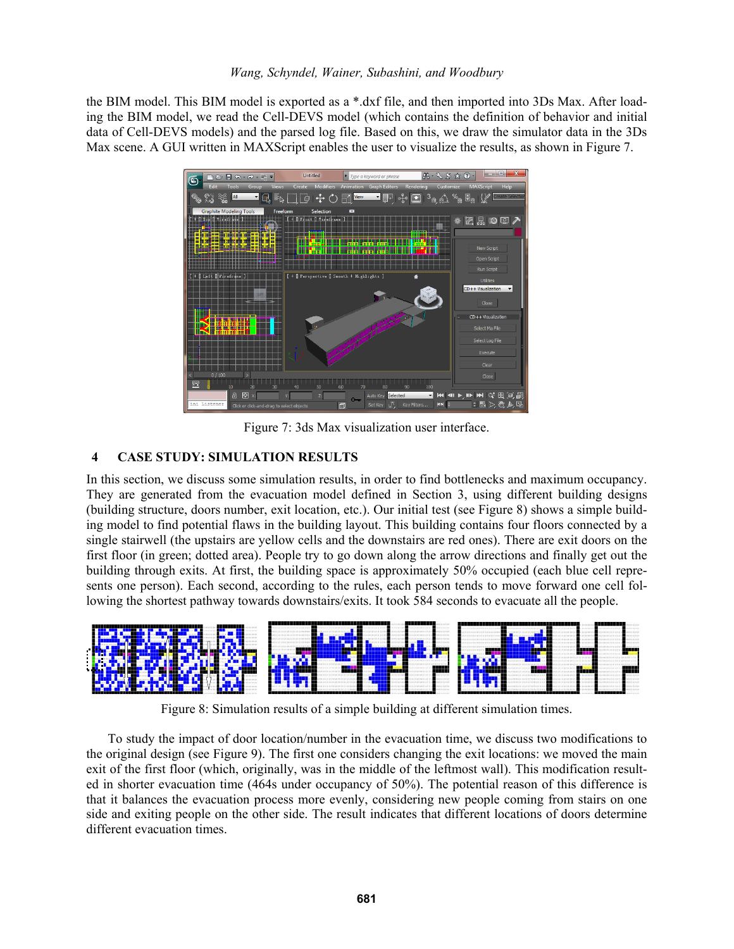the BIM model. This BIM model is exported as a \*.dxf file, and then imported into 3Ds Max. After loading the BIM model, we read the Cell-DEVS model (which contains the definition of behavior and initial data of Cell-DEVS models) and the parsed log file. Based on this, we draw the simulator data in the 3Ds Max scene. A GUI written in MAXScript enables the user to visualize the results, as shown in Figure 7.



Figure 7: 3ds Max visualization user interface.

# **4 CASE STUDY: SIMULATION RESULTS**

In this section, we discuss some simulation results, in order to find bottlenecks and maximum occupancy. They are generated from the evacuation model defined in Section 3, using different building designs (building structure, doors number, exit location, etc.). Our initial test (see Figure 8) shows a simple building model to find potential flaws in the building layout. This building contains four floors connected by a single stairwell (the upstairs are yellow cells and the downstairs are red ones). There are exit doors on the first floor (in green; dotted area). People try to go down along the arrow directions and finally get out the building through exits. At first, the building space is approximately 50% occupied (each blue cell represents one person). Each second, according to the rules, each person tends to move forward one cell following the shortest pathway towards downstairs/exits. It took 584 seconds to evacuate all the people.



Figure 8: Simulation results of a simple building at different simulation times.

To study the impact of door location/number in the evacuation time, we discuss two modifications to the original design (see Figure 9). The first one considers changing the exit locations: we moved the main exit of the first floor (which, originally, was in the middle of the leftmost wall). This modification resulted in shorter evacuation time (464s under occupancy of 50%). The potential reason of this difference is that it balances the evacuation process more evenly, considering new people coming from stairs on one side and exiting people on the other side. The result indicates that different locations of doors determine different evacuation times.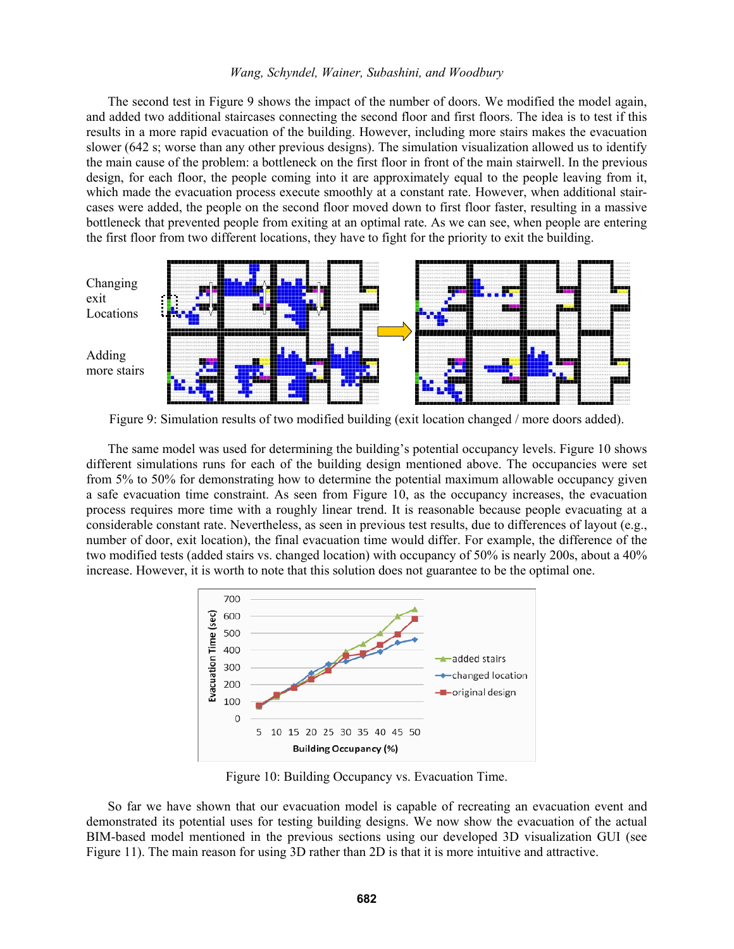The second test in Figure 9 shows the impact of the number of doors. We modified the model again, and added two additional staircases connecting the second floor and first floors. The idea is to test if this results in a more rapid evacuation of the building. However, including more stairs makes the evacuation slower (642 s; worse than any other previous designs). The simulation visualization allowed us to identify the main cause of the problem: a bottleneck on the first floor in front of the main stairwell. In the previous design, for each floor, the people coming into it are approximately equal to the people leaving from it, which made the evacuation process execute smoothly at a constant rate. However, when additional staircases were added, the people on the second floor moved down to first floor faster, resulting in a massive bottleneck that prevented people from exiting at an optimal rate. As we can see, when people are entering the first floor from two different locations, they have to fight for the priority to exit the building.



Figure 9: Simulation results of two modified building (exit location changed / more doors added).

The same model was used for determining the building's potential occupancy levels. Figure 10 shows different simulations runs for each of the building design mentioned above. The occupancies were set from 5% to 50% for demonstrating how to determine the potential maximum allowable occupancy given a safe evacuation time constraint. As seen from Figure 10, as the occupancy increases, the evacuation process requires more time with a roughly linear trend. It is reasonable because people evacuating at a considerable constant rate. Nevertheless, as seen in previous test results, due to differences of layout (e.g., number of door, exit location), the final evacuation time would differ. For example, the difference of the two modified tests (added stairs vs. changed location) with occupancy of 50% is nearly 200s, about a 40% increase. However, it is worth to note that this solution does not guarantee to be the optimal one.



Figure 10: Building Occupancy vs. Evacuation Time.

So far we have shown that our evacuation model is capable of recreating an evacuation event and demonstrated its potential uses for testing building designs. We now show the evacuation of the actual BIM-based model mentioned in the previous sections using our developed 3D visualization GUI (see Figure 11). The main reason for using 3D rather than 2D is that it is more intuitive and attractive.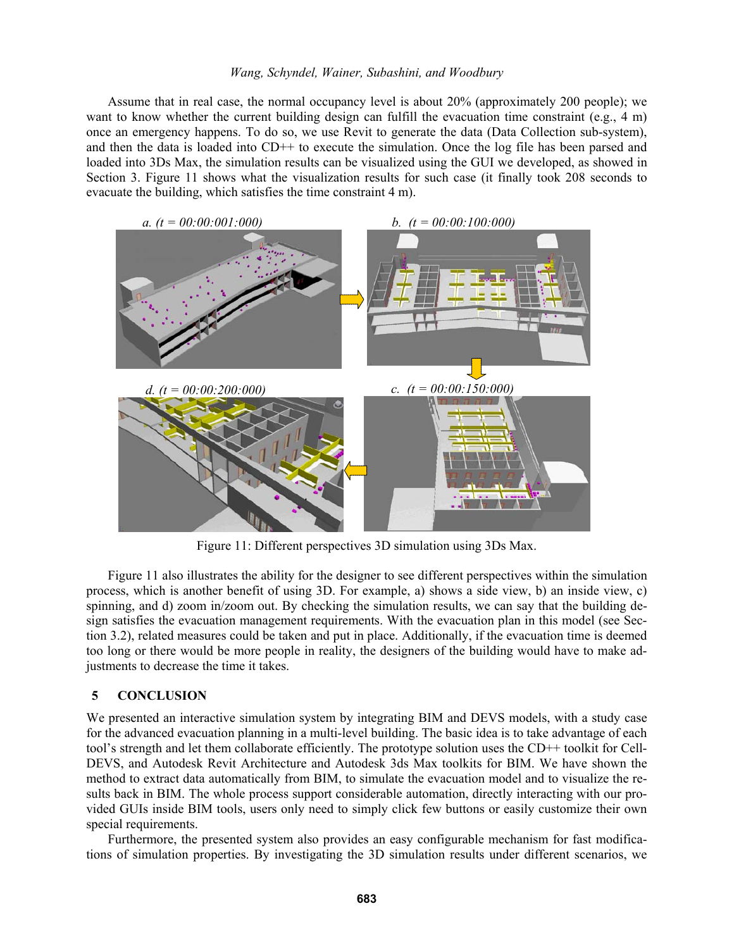Assume that in real case, the normal occupancy level is about 20% (approximately 200 people); we want to know whether the current building design can fulfill the evacuation time constraint (e.g., 4 m) once an emergency happens. To do so, we use Revit to generate the data (Data Collection sub-system), and then the data is loaded into CD++ to execute the simulation. Once the log file has been parsed and loaded into 3Ds Max, the simulation results can be visualized using the GUI we developed, as showed in Section 3. Figure 11 shows what the visualization results for such case (it finally took 208 seconds to evacuate the building, which satisfies the time constraint 4 m).



Figure 11: Different perspectives 3D simulation using 3Ds Max.

Figure 11 also illustrates the ability for the designer to see different perspectives within the simulation process, which is another benefit of using 3D. For example, a) shows a side view, b) an inside view, c) spinning, and d) zoom in/zoom out. By checking the simulation results, we can say that the building design satisfies the evacuation management requirements. With the evacuation plan in this model (see Section 3.2), related measures could be taken and put in place. Additionally, if the evacuation time is deemed too long or there would be more people in reality, the designers of the building would have to make adjustments to decrease the time it takes.

## **5 CONCLUSION**

We presented an interactive simulation system by integrating BIM and DEVS models, with a study case for the advanced evacuation planning in a multi-level building. The basic idea is to take advantage of each tool's strength and let them collaborate efficiently. The prototype solution uses the CD++ toolkit for Cell-DEVS, and Autodesk Revit Architecture and Autodesk 3ds Max toolkits for BIM. We have shown the method to extract data automatically from BIM, to simulate the evacuation model and to visualize the results back in BIM. The whole process support considerable automation, directly interacting with our provided GUIs inside BIM tools, users only need to simply click few buttons or easily customize their own special requirements.

Furthermore, the presented system also provides an easy configurable mechanism for fast modifications of simulation properties. By investigating the 3D simulation results under different scenarios, we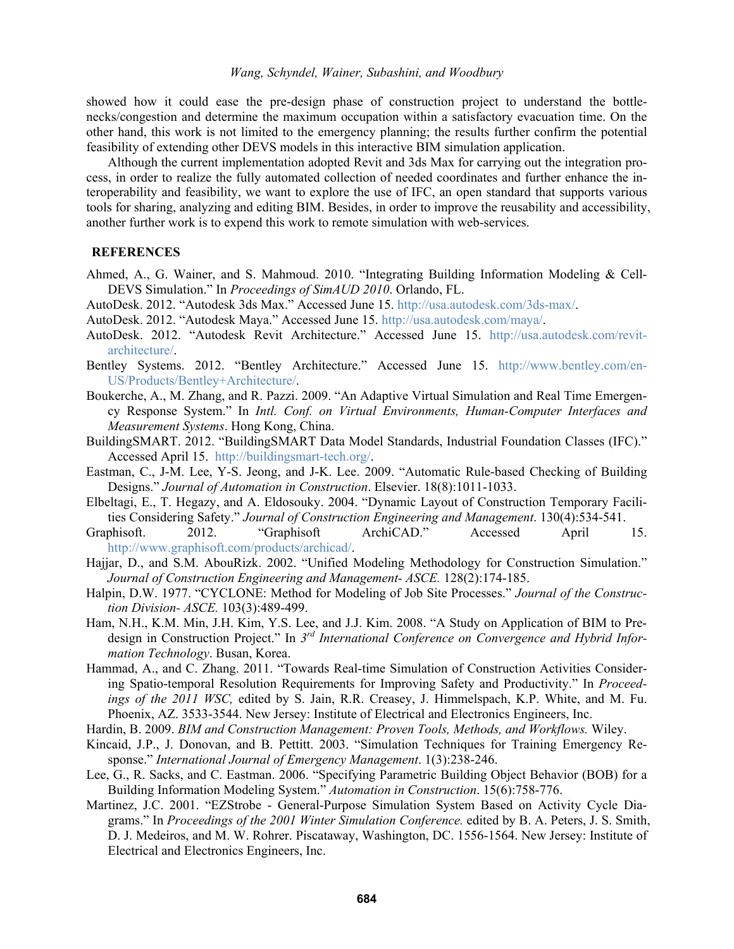showed how it could ease the pre-design phase of construction project to understand the bottlenecks/congestion and determine the maximum occupation within a satisfactory evacuation time. On the other hand, this work is not limited to the emergency planning; the results further confirm the potential feasibility of extending other DEVS models in this interactive BIM simulation application.

Although the current implementation adopted Revit and 3ds Max for carrying out the integration process, in order to realize the fully automated collection of needed coordinates and further enhance the interoperability and feasibility, we want to explore the use of IFC, an open standard that supports various tools for sharing, analyzing and editing BIM. Besides, in order to improve the reusability and accessibility, another further work is to expend this work to remote simulation with web-services.

## **REFERENCES**

- Ahmed, A., G. Wainer, and S. Mahmoud. 2010. "Integrating Building Information Modeling & Cell-DEVS Simulation." In *Proceedings of SimAUD 2010*. Orlando, FL.
- AutoDesk. 2012. "Autodesk 3ds Max." Accessed June 15. http://usa.autodesk.com/3ds-max/.
- AutoDesk. 2012. "Autodesk Maya." Accessed June 15. http://usa.autodesk.com/maya/.
- AutoDesk. 2012. "Autodesk Revit Architecture." Accessed June 15. http://usa.autodesk.com/revitarchitecture/.
- Bentley Systems. 2012. "Bentley Architecture." Accessed June 15. http://www.bentley.com/en-US/Products/Bentley+Architecture/.
- Boukerche, A., M. Zhang, and R. Pazzi. 2009. "An Adaptive Virtual Simulation and Real Time Emergency Response System." In *Intl. Conf. on Virtual Environments, Human-Computer Interfaces and Measurement Systems*. Hong Kong, China.
- BuildingSMART. 2012. "BuildingSMART Data Model Standards, Industrial Foundation Classes (IFC)." Accessed April 15. http://buildingsmart-tech.org/.
- Eastman, C., J-M. Lee, Y-S. Jeong, and J-K. Lee. 2009. "Automatic Rule-based Checking of Building Designs." *Journal of Automation in Construction*. Elsevier. 18(8):1011-1033.
- Elbeltagi, E., T. Hegazy, and A. Eldosouky. 2004. "Dynamic Layout of Construction Temporary Facilities Considering Safety." *Journal of Construction Engineering and Management*. 130(4):534-541.
- Graphisoft. 2012. "Graphisoft ArchiCAD." Accessed April 15. http://www.graphisoft.com/products/archicad/.
- Hajjar, D., and S.M. AbouRizk. 2002. "Unified Modeling Methodology for Construction Simulation." *Journal of Construction Engineering and Management- ASCE.* 128(2):174-185.
- Halpin, D.W. 1977. "CYCLONE: Method for Modeling of Job Site Processes." *Journal of the Construction Division- ASCE.* 103(3):489-499.
- Ham, N.H., K.M. Min, J.H. Kim, Y.S. Lee, and J.J. Kim. 2008. "A Study on Application of BIM to Predesign in Construction Project." In *3rd International Conference on Convergence and Hybrid Information Technology*. Busan, Korea.
- Hammad, A., and C. Zhang. 2011. "Towards Real-time Simulation of Construction Activities Considering Spatio-temporal Resolution Requirements for Improving Safety and Productivity." In *Proceedings of the 2011 WSC,* edited by S. Jain, R.R. Creasey, J. Himmelspach, K.P. White, and M. Fu. Phoenix, AZ. 3533-3544. New Jersey: Institute of Electrical and Electronics Engineers, Inc.
- Hardin, B. 2009. *BIM and Construction Management: Proven Tools, Methods, and Workflows.* Wiley.
- Kincaid, J.P., J. Donovan, and B. Pettitt. 2003. "Simulation Techniques for Training Emergency Response." *International Journal of Emergency Management*. 1(3):238-246.
- Lee, G., R. Sacks, and C. Eastman. 2006. "Specifying Parametric Building Object Behavior (BOB) for a Building Information Modeling System." *Automation in Construction*. 15(6):758-776.
- Martinez, J.C. 2001. "EZStrobe General-Purpose Simulation System Based on Activity Cycle Diagrams." In *Proceedings of the 2001 Winter Simulation Conference.* edited by B. A. Peters, J. S. Smith, D. J. Medeiros, and M. W. Rohrer. Piscataway, Washington, DC. 1556-1564. New Jersey: Institute of Electrical and Electronics Engineers, Inc.